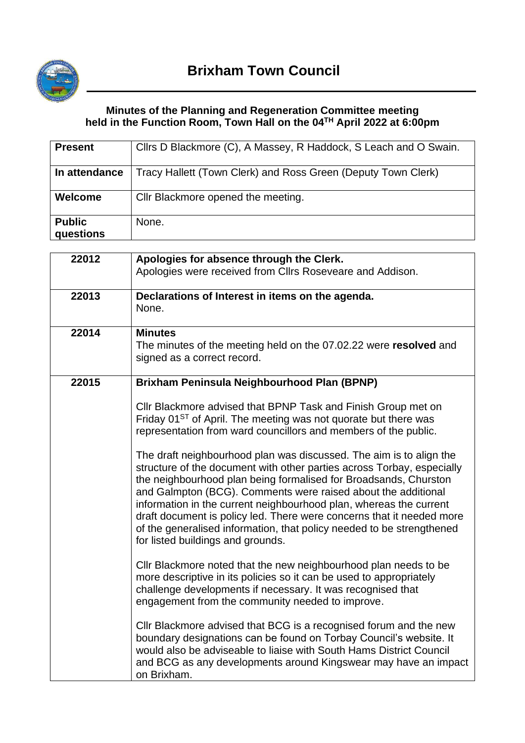

## **Minutes of the Planning and Regeneration Committee meeting held in the Function Room, Town Hall on the 04TH April 2022 at 6:00pm**

| <b>Present</b>             | Cllrs D Blackmore (C), A Massey, R Haddock, S Leach and O Swain. |
|----------------------------|------------------------------------------------------------------|
| In attendance              | Tracy Hallett (Town Clerk) and Ross Green (Deputy Town Clerk)    |
| <b>Welcome</b>             | Cllr Blackmore opened the meeting.                               |
| <b>Public</b><br>questions | None.                                                            |

| 22012 | Apologies for absence through the Clerk.<br>Apologies were received from Cllrs Roseveare and Addison.                                                                                                                                                                                                                                                                                                                                                                                                                                           |
|-------|-------------------------------------------------------------------------------------------------------------------------------------------------------------------------------------------------------------------------------------------------------------------------------------------------------------------------------------------------------------------------------------------------------------------------------------------------------------------------------------------------------------------------------------------------|
| 22013 | Declarations of Interest in items on the agenda.<br>None.                                                                                                                                                                                                                                                                                                                                                                                                                                                                                       |
| 22014 | <b>Minutes</b><br>The minutes of the meeting held on the 07.02.22 were resolved and<br>signed as a correct record.                                                                                                                                                                                                                                                                                                                                                                                                                              |
| 22015 | Brixham Peninsula Neighbourhood Plan (BPNP)                                                                                                                                                                                                                                                                                                                                                                                                                                                                                                     |
|       | Cllr Blackmore advised that BPNP Task and Finish Group met on<br>Friday 01 <sup>ST</sup> of April. The meeting was not quorate but there was<br>representation from ward councillors and members of the public.                                                                                                                                                                                                                                                                                                                                 |
|       | The draft neighbourhood plan was discussed. The aim is to align the<br>structure of the document with other parties across Torbay, especially<br>the neighbourhood plan being formalised for Broadsands, Churston<br>and Galmpton (BCG). Comments were raised about the additional<br>information in the current neighbourhood plan, whereas the current<br>draft document is policy led. There were concerns that it needed more<br>of the generalised information, that policy needed to be strengthened<br>for listed buildings and grounds. |
|       | Cllr Blackmore noted that the new neighbourhood plan needs to be<br>more descriptive in its policies so it can be used to appropriately<br>challenge developments if necessary. It was recognised that<br>engagement from the community needed to improve.                                                                                                                                                                                                                                                                                      |
|       | Cllr Blackmore advised that BCG is a recognised forum and the new<br>boundary designations can be found on Torbay Council's website. It<br>would also be adviseable to liaise with South Hams District Council<br>and BCG as any developments around Kingswear may have an impact<br>on Brixham.                                                                                                                                                                                                                                                |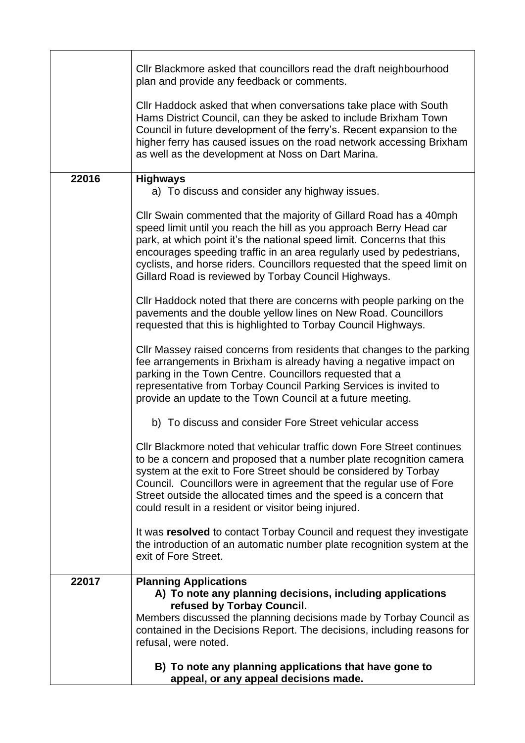|       | CIIr Blackmore asked that councillors read the draft neighbourhood<br>plan and provide any feedback or comments.                                                                                                                                                                                                                                                                                                                  |  |  |  |  |  |
|-------|-----------------------------------------------------------------------------------------------------------------------------------------------------------------------------------------------------------------------------------------------------------------------------------------------------------------------------------------------------------------------------------------------------------------------------------|--|--|--|--|--|
|       | Cllr Haddock asked that when conversations take place with South<br>Hams District Council, can they be asked to include Brixham Town<br>Council in future development of the ferry's. Recent expansion to the<br>higher ferry has caused issues on the road network accessing Brixham<br>as well as the development at Noss on Dart Marina.                                                                                       |  |  |  |  |  |
| 22016 | <b>Highways</b><br>a) To discuss and consider any highway issues.                                                                                                                                                                                                                                                                                                                                                                 |  |  |  |  |  |
|       | Cllr Swain commented that the majority of Gillard Road has a 40mph<br>speed limit until you reach the hill as you approach Berry Head car<br>park, at which point it's the national speed limit. Concerns that this<br>encourages speeding traffic in an area regularly used by pedestrians,<br>cyclists, and horse riders. Councillors requested that the speed limit on<br>Gillard Road is reviewed by Torbay Council Highways. |  |  |  |  |  |
|       | Cllr Haddock noted that there are concerns with people parking on the<br>pavements and the double yellow lines on New Road. Councillors<br>requested that this is highlighted to Torbay Council Highways.                                                                                                                                                                                                                         |  |  |  |  |  |
|       | CIIr Massey raised concerns from residents that changes to the parking<br>fee arrangements in Brixham is already having a negative impact on<br>parking in the Town Centre. Councillors requested that a<br>representative from Torbay Council Parking Services is invited to<br>provide an update to the Town Council at a future meeting.                                                                                       |  |  |  |  |  |
|       | b) To discuss and consider Fore Street vehicular access                                                                                                                                                                                                                                                                                                                                                                           |  |  |  |  |  |
|       | CIIr Blackmore noted that vehicular traffic down Fore Street continues<br>to be a concern and proposed that a number plate recognition camera<br>system at the exit to Fore Street should be considered by Torbay<br>Council. Councillors were in agreement that the regular use of Fore<br>Street outside the allocated times and the speed is a concern that<br>could result in a resident or visitor being injured.            |  |  |  |  |  |
|       | It was resolved to contact Torbay Council and request they investigate<br>the introduction of an automatic number plate recognition system at the<br>exit of Fore Street.                                                                                                                                                                                                                                                         |  |  |  |  |  |
| 22017 | <b>Planning Applications</b><br>A) To note any planning decisions, including applications<br>refused by Torbay Council.                                                                                                                                                                                                                                                                                                           |  |  |  |  |  |
|       | Members discussed the planning decisions made by Torbay Council as<br>contained in the Decisions Report. The decisions, including reasons for<br>refusal, were noted.                                                                                                                                                                                                                                                             |  |  |  |  |  |
|       | B) To note any planning applications that have gone to<br>appeal, or any appeal decisions made.                                                                                                                                                                                                                                                                                                                                   |  |  |  |  |  |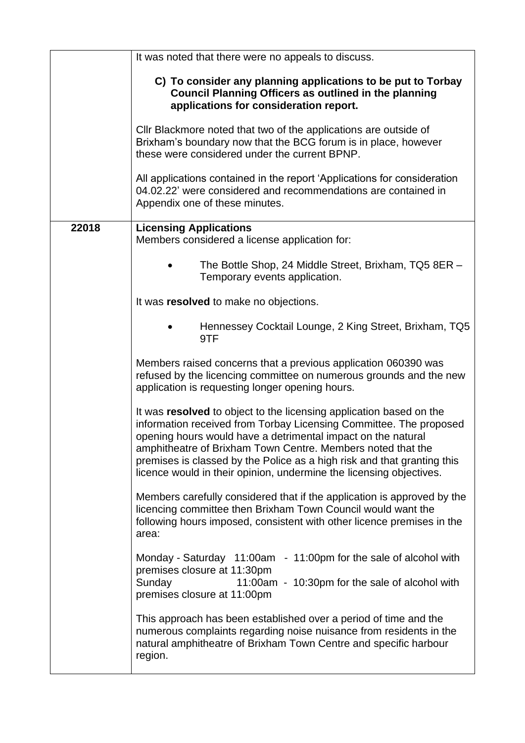|       | It was noted that there were no appeals to discuss.                                                                                                                                                                                                                                                                                                                                                                        |  |  |  |  |
|-------|----------------------------------------------------------------------------------------------------------------------------------------------------------------------------------------------------------------------------------------------------------------------------------------------------------------------------------------------------------------------------------------------------------------------------|--|--|--|--|
|       | C) To consider any planning applications to be put to Torbay<br><b>Council Planning Officers as outlined in the planning</b><br>applications for consideration report.                                                                                                                                                                                                                                                     |  |  |  |  |
|       | Cllr Blackmore noted that two of the applications are outside of<br>Brixham's boundary now that the BCG forum is in place, however<br>these were considered under the current BPNP.                                                                                                                                                                                                                                        |  |  |  |  |
|       | All applications contained in the report 'Applications for consideration<br>04.02.22' were considered and recommendations are contained in<br>Appendix one of these minutes.                                                                                                                                                                                                                                               |  |  |  |  |
| 22018 | <b>Licensing Applications</b>                                                                                                                                                                                                                                                                                                                                                                                              |  |  |  |  |
|       | Members considered a license application for:                                                                                                                                                                                                                                                                                                                                                                              |  |  |  |  |
|       | The Bottle Shop, 24 Middle Street, Brixham, TQ5 8ER -<br>Temporary events application.                                                                                                                                                                                                                                                                                                                                     |  |  |  |  |
|       | It was resolved to make no objections.                                                                                                                                                                                                                                                                                                                                                                                     |  |  |  |  |
|       | Hennessey Cocktail Lounge, 2 King Street, Brixham, TQ5<br>9TF                                                                                                                                                                                                                                                                                                                                                              |  |  |  |  |
|       | Members raised concerns that a previous application 060390 was<br>refused by the licencing committee on numerous grounds and the new<br>application is requesting longer opening hours.                                                                                                                                                                                                                                    |  |  |  |  |
|       | It was resolved to object to the licensing application based on the<br>information received from Torbay Licensing Committee. The proposed<br>opening hours would have a detrimental impact on the natural<br>amphitheatre of Brixham Town Centre. Members noted that the<br>premises is classed by the Police as a high risk and that granting this<br>licence would in their opinion, undermine the licensing objectives. |  |  |  |  |
|       | Members carefully considered that if the application is approved by the<br>licencing committee then Brixham Town Council would want the<br>following hours imposed, consistent with other licence premises in the<br>area:                                                                                                                                                                                                 |  |  |  |  |
|       | Monday - Saturday 11:00am - 11:00pm for the sale of alcohol with<br>premises closure at 11:30pm<br>Sunday<br>11:00am - 10:30pm for the sale of alcohol with<br>premises closure at 11:00pm                                                                                                                                                                                                                                 |  |  |  |  |
|       | This approach has been established over a period of time and the<br>numerous complaints regarding noise nuisance from residents in the<br>natural amphitheatre of Brixham Town Centre and specific harbour<br>region.                                                                                                                                                                                                      |  |  |  |  |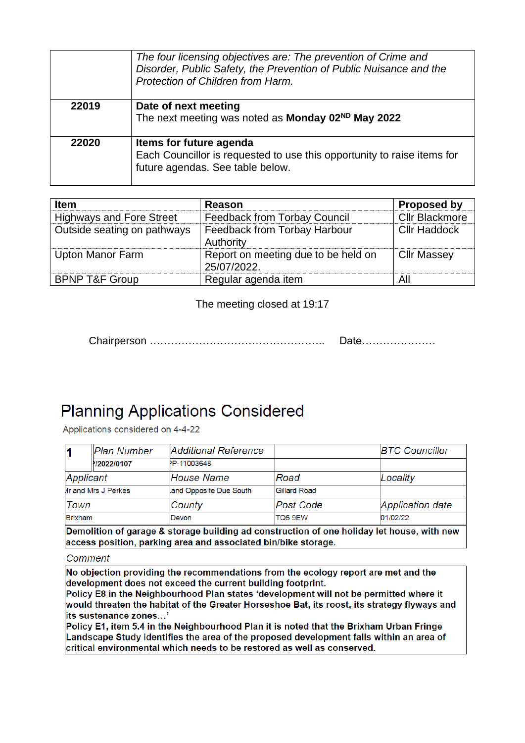|       | The four licensing objectives are: The prevention of Crime and<br>Disorder, Public Safety, the Prevention of Public Nuisance and the<br>Protection of Children from Harm. |
|-------|---------------------------------------------------------------------------------------------------------------------------------------------------------------------------|
| 22019 | Date of next meeting<br>The next meeting was noted as Monday 02 <sup>ND</sup> May 2022                                                                                    |
| 22020 | Items for future agenda<br>Each Councillor is requested to use this opportunity to raise items for<br>future agendas. See table below.                                    |

| <b>Item</b>                     | Reason                                             | <b>Proposed by</b>    |
|---------------------------------|----------------------------------------------------|-----------------------|
| <b>Highways and Fore Street</b> | <b>Feedback from Torbay Council</b>                | <b>Cllr Blackmore</b> |
| Outside seating on pathways     | Feedback from Torbay Harbour<br>Authority          | <b>CIIr Haddock</b>   |
| <b>Upton Manor Farm</b>         | Report on meeting due to be held on<br>25/07/2022. | <b>Cllr Massey</b>    |
| <b>BPNP T&amp;F Group</b>       | Regular agenda item                                | All                   |

The meeting closed at 19:17

Date.....................

## **Planning Applications Considered**

Applications considered on 4-4-22

|                | Plan Number                | <b>Additional Reference</b> |                  | <b>BTC Councillor</b> |
|----------------|----------------------------|-----------------------------|------------------|-----------------------|
|                | <b>22022/0107</b>          | P-11003648                  |                  |                       |
| Applicant      |                            | House Name                  | Road             | Locality              |
|                | <b>In and Mrs J Perkes</b> | and Opposite Due South      | Gillard Road     |                       |
| Town           |                            | County                      | <b>Post Code</b> | Application date      |
| <b>Brixham</b> |                            | Devon                       | <b>TQ5 9EW</b>   | 01/02/22              |

Demolition of garage & storage building ad construction of one holiday let house, with new access position, parking area and associated bin/bike storage.

## Comment

No objection providing the recommendations from the ecology report are met and the development does not exceed the current building footprint.

Policy E8 in the Neighbourhood Plan states 'development will not be permitted where it would threaten the habitat of the Greater Horseshoe Bat, its roost, its strategy flyways and its sustenance zones...'

Policy E1, item 5.4 in the Neighbourhood Plan it is noted that the Brixham Urban Fringe Landscape Study identifies the area of the proposed development falls within an area of critical environmental which needs to be restored as well as conserved.